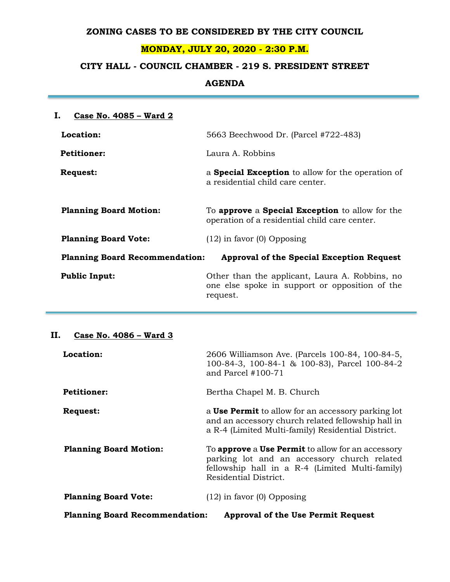### **ZONING CASES TO BE CONSIDERED BY THE CITY COUNCIL**

## **MONDAY, JULY 20, 2020 - 2:30 P.M.**

# **CITY HALL - COUNCIL CHAMBER - 219 S. PRESIDENT STREET**

### **AGENDA**

| Ι.<br>Case No. 4085 - Ward 2                                                       |                                                                                                              |  |
|------------------------------------------------------------------------------------|--------------------------------------------------------------------------------------------------------------|--|
| Location:                                                                          | 5663 Beechwood Dr. (Parcel #722-483)                                                                         |  |
| <b>Petitioner:</b>                                                                 | Laura A. Robbins                                                                                             |  |
| <b>Request:</b>                                                                    | a <b>Special Exception</b> to allow for the operation of<br>a residential child care center.                 |  |
| <b>Planning Board Motion:</b>                                                      | To approve a Special Exception to allow for the<br>operation of a residential child care center.             |  |
| <b>Planning Board Vote:</b>                                                        | $(12)$ in favor $(0)$ Opposing                                                                               |  |
| <b>Planning Board Recommendation:</b><br>Approval of the Special Exception Request |                                                                                                              |  |
| <b>Public Input:</b>                                                               | Other than the applicant, Laura A. Robbins, no<br>one else spoke in support or opposition of the<br>request. |  |

## **II. Case No. 4086 – Ward 3**

| Location:                                                                          | 2606 Williamson Ave. (Parcels 100-84, 100-84-5,<br>100-84-3, 100-84-1 & 100-83), Parcel 100-84-2<br>and Parcel $#100-71$                                                                   |  |
|------------------------------------------------------------------------------------|--------------------------------------------------------------------------------------------------------------------------------------------------------------------------------------------|--|
| <b>Petitioner:</b>                                                                 | Bertha Chapel M. B. Church                                                                                                                                                                 |  |
| <b>Request:</b>                                                                    | a <b>Use Permit</b> to allow for an accessory parking lot<br>and an accessory church related fellowship hall in<br>a R-4 (Limited Multi-family) Residential District.                      |  |
| <b>Planning Board Motion:</b>                                                      | To <b>approve</b> a <b>Use Permit</b> to allow for an accessory<br>parking lot and an accessory church related<br>fellowship hall in a R-4 (Limited Multi-family)<br>Residential District. |  |
| <b>Planning Board Vote:</b>                                                        | $(12)$ in favor $(0)$ Opposing                                                                                                                                                             |  |
| <b>Planning Board Recommendation:</b><br><b>Approval of the Use Permit Request</b> |                                                                                                                                                                                            |  |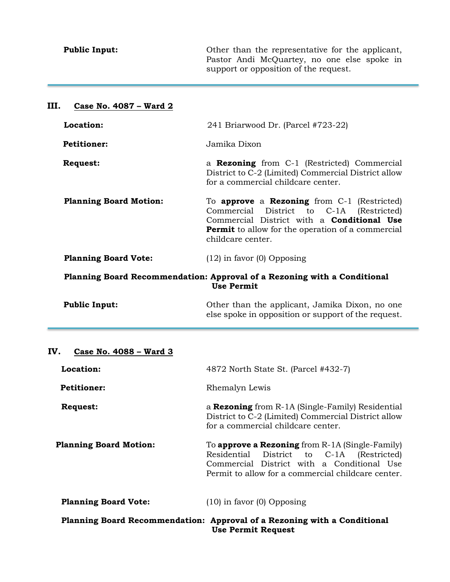| <b>Public Input:</b>                                                                          | Other than the representative for the applicant,<br>Pastor Andi McQuartey, no one else spoke in<br>support or opposition of the request.                                                                                                      |  |
|-----------------------------------------------------------------------------------------------|-----------------------------------------------------------------------------------------------------------------------------------------------------------------------------------------------------------------------------------------------|--|
| III.<br>Case No. 4087 – Ward 2                                                                |                                                                                                                                                                                                                                               |  |
| Location:                                                                                     | 241 Briarwood Dr. (Parcel #723-22)                                                                                                                                                                                                            |  |
| <b>Petitioner:</b>                                                                            | Jamika Dixon                                                                                                                                                                                                                                  |  |
| <b>Request:</b>                                                                               | a <b>Rezoning</b> from C-1 (Restricted) Commercial<br>District to C-2 (Limited) Commercial District allow<br>for a commercial childcare center.                                                                                               |  |
| <b>Planning Board Motion:</b>                                                                 | To <b>approve</b> a <b>Rezoning</b> from $C-1$ (Restricted)<br>Commercial District to C-1A (Restricted)<br>Commercial District with a <b>Conditional Use</b><br><b>Permit</b> to allow for the operation of a commercial<br>childcare center. |  |
| <b>Planning Board Vote:</b>                                                                   | $(12)$ in favor $(0)$ Opposing                                                                                                                                                                                                                |  |
| Planning Board Recommendation: Approval of a Rezoning with a Conditional<br><b>Use Permit</b> |                                                                                                                                                                                                                                               |  |

| <b>Public Input:</b> | Other than the applicant, Jamika Dixon, no one      |
|----------------------|-----------------------------------------------------|
|                      | else spoke in opposition or support of the request. |

# **IV. Case No. 4088 – Ward 3**

| Location:                                                                                             | 4872 North State St. (Parcel #432-7)                                                                                                                                                                      |  |
|-------------------------------------------------------------------------------------------------------|-----------------------------------------------------------------------------------------------------------------------------------------------------------------------------------------------------------|--|
| <b>Petitioner:</b>                                                                                    | Rhemalyn Lewis                                                                                                                                                                                            |  |
| <b>Request:</b>                                                                                       | a <b>Rezoning</b> from R-1A (Single-Family) Residential<br>District to C-2 (Limited) Commercial District allow<br>for a commercial childcare center.                                                      |  |
| <b>Planning Board Motion:</b>                                                                         | To <b>approve a Rezoning</b> from $R-1A$ (Single-Family)<br>Residential District to C-1A (Restricted)<br>Commercial District with a Conditional Use<br>Permit to allow for a commercial childcare center. |  |
| <b>Planning Board Vote:</b>                                                                           | $(10)$ in favor $(0)$ Opposing                                                                                                                                                                            |  |
| Planning Board Recommendation: Approval of a Rezoning with a Conditional<br><b>Use Permit Request</b> |                                                                                                                                                                                                           |  |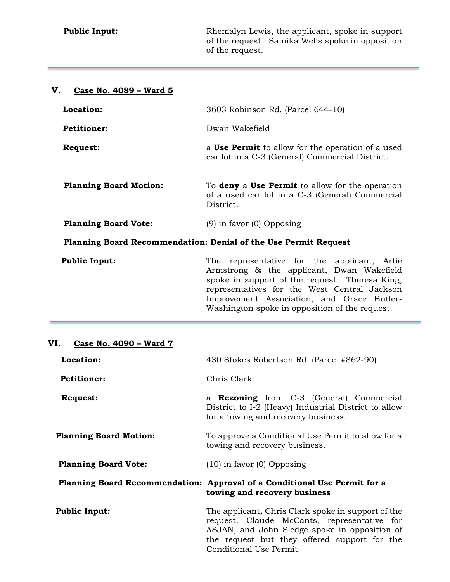**Public Input: Rhemalyn Lewis, the applicant, spoke in support** of the request. Samika Wells spoke in opposition of the request.

# **V. Case No. 4089 – Ward 5**

| Location:                     | 3603 Robinson Rd. (Parcel 644-10)                                                                                                                                                                                                                                                             |  |
|-------------------------------|-----------------------------------------------------------------------------------------------------------------------------------------------------------------------------------------------------------------------------------------------------------------------------------------------|--|
| <b>Petitioner:</b>            | Dwan Wakefield                                                                                                                                                                                                                                                                                |  |
| <b>Request:</b>               | a Use Permit to allow for the operation of a used<br>car lot in a C-3 (General) Commercial District.                                                                                                                                                                                          |  |
| <b>Planning Board Motion:</b> | To <b>deny</b> a Use Permit to allow for the operation<br>of a used car lot in a C-3 (General) Commercial<br>District.                                                                                                                                                                        |  |
| <b>Planning Board Vote:</b>   | $(9)$ in favor $(0)$ Opposing                                                                                                                                                                                                                                                                 |  |
|                               | Planning Board Recommendation: Denial of the Use Permit Request                                                                                                                                                                                                                               |  |
| <b>Public Input:</b>          | representative for the applicant, Artie<br>The<br>Armstrong & the applicant, Dwan Wakefield<br>spoke in support of the request. Theresa King,<br>representatives for the West Central Jackson<br>Improvement Association, and Grace Butler-<br>Washington spoke in opposition of the request. |  |
|                               |                                                                                                                                                                                                                                                                                               |  |

### **VI. Case No. 4090 – Ward 7**

| Location:                     | 430 Stokes Robertson Rd. (Parcel #862-90)                                                                                                                                                                                     |  |  |
|-------------------------------|-------------------------------------------------------------------------------------------------------------------------------------------------------------------------------------------------------------------------------|--|--|
| <b>Petitioner:</b>            | Chris Clark                                                                                                                                                                                                                   |  |  |
| <b>Request:</b>               | a <b>Rezoning</b> from C-3 (General) Commercial<br>District to I-2 (Heavy) Industrial District to allow<br>for a towing and recovery business.                                                                                |  |  |
| <b>Planning Board Motion:</b> | To approve a Conditional Use Permit to allow for a<br>towing and recovery business.                                                                                                                                           |  |  |
| <b>Planning Board Vote:</b>   | $(10)$ in favor $(0)$ Opposing                                                                                                                                                                                                |  |  |
|                               | Planning Board Recommendation: Approval of a Conditional Use Permit for a<br>towing and recovery business                                                                                                                     |  |  |
| <b>Public Input:</b>          | The applicant, Chris Clark spoke in support of the<br>request. Claude McCants, representative for<br>ASJAN, and John Sledge spoke in opposition of<br>the request but they offered support for the<br>Conditional Use Permit. |  |  |